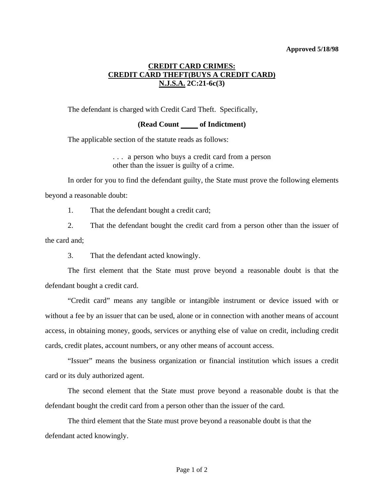## **Approved 5/18/98**

## **CREDIT CARD CRIMES: CREDIT CARD THEFT(BUYS A CREDIT CARD) N.J.S.A. 2C:21-6c(3)**

The defendant is charged with Credit Card Theft. Specifically,

## **(Read Count \_\_\_\_\_ of Indictment)**

The applicable section of the statute reads as follows:

. . . a person who buys a credit card from a person other than the issuer is guilty of a crime.

 In order for you to find the defendant guilty, the State must prove the following elements beyond a reasonable doubt:

1. That the defendant bought a credit card;

 2. That the defendant bought the credit card from a person other than the issuer of the card and;

3. That the defendant acted knowingly.

 The first element that the State must prove beyond a reasonable doubt is that the defendant bought a credit card.

 "Credit card" means any tangible or intangible instrument or device issued with or without a fee by an issuer that can be used, alone or in connection with another means of account access, in obtaining money, goods, services or anything else of value on credit, including credit cards, credit plates, account numbers, or any other means of account access.

 "Issuer" means the business organization or financial institution which issues a credit card or its duly authorized agent.

 The second element that the State must prove beyond a reasonable doubt is that the defendant bought the credit card from a person other than the issuer of the card.

 The third element that the State must prove beyond a reasonable doubt is that the defendant acted knowingly.